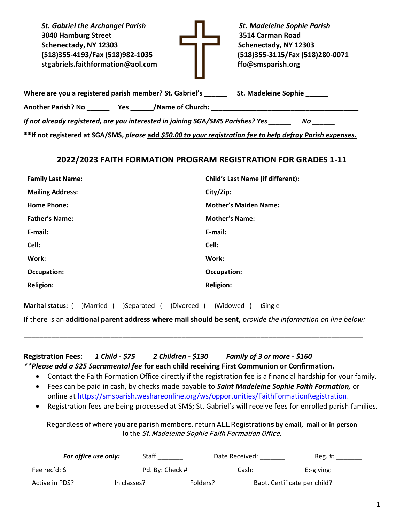St. Gabriel the Archangel Parish **St. Madeleine Sophie Parish** St. Madeleine Sophie Parish **3040 Hamburg Street 3514 Carman Road Schenectady, NY 12303 Schenectady, NY 12303 (518)355-4193/Fax (518)982-1035 [\(518\)355-3115/Fax \(518\)280-0071](mailto:355-4193/Fax%20(518)982-1035%09%09(518)355-3115/Fax%20(518)280-0071%20%20%20%20%20%20%20%20%20%20%20%20%20%20%20%20%20%20%20%20%20%20%20%20%20%20%20%20%20%20%20%20%20%20%20%20%20%20%20%20%20%20%20%20%20%20%20%20%20%20%20%20%20%20%20%20%20%20%20%20%20%20%20%20%20%20%20%20%20%20%20%20%20%20%20%20%20%20%20%20%20%20%20%20%20%20%20%20%20%20%20%20%20%20%20%20%20%20%20%20%20%20%20%20%20%20%20%20%20%20%20%20%20%20%20%20%20%20%20%20%20%20%20%20%20%20%20%20%20%20%20%20stgabriels.faithformation@aol.com%20%09%09ffo@smsparish.org)  [stgabriels.faithformation@aol.com ffo@smsparish.org](mailto:355-4193/Fax%20(518)982-1035%09%09(518)355-3115/Fax%20(518)280-0071%20%20%20%20%20%20%20%20%20%20%20%20%20%20%20%20%20%20%20%20%20%20%20%20%20%20%20%20%20%20%20%20%20%20%20%20%20%20%20%20%20%20%20%20%20%20%20%20%20%20%20%20%20%20%20%20%20%20%20%20%20%20%20%20%20%20%20%20%20%20%20%20%20%20%20%20%20%20%20%20%20%20%20%20%20%20%20%20%20%20%20%20%20%20%20%20%20%20%20%20%20%20%20%20%20%20%20%20%20%20%20%20%20%20%20%20%20%20%20%20%20%20%20%20%20%20%20%20%20%20%20%20stgabriels.faithformation@aol.com%20%09%09ffo@smsparish.org)**



| Where are you a registered parish member? St. Gabriel's | <b>St. Madeleine Sophie</b> |
|---------------------------------------------------------|-----------------------------|
|                                                         |                             |

**Another Parish? No \_\_\_\_\_\_ Yes \_\_\_\_\_\_/Name of Church: \_\_\_\_\_\_\_\_\_\_\_\_\_\_\_\_\_\_\_\_\_\_\_\_\_\_\_\_\_\_\_\_\_\_\_\_\_\_\_**

*If not already registered, are you interested in joining SGA/SMS Parishes? Yes \_\_\_\_\_\_ No \_\_\_\_\_\_*

**\*\*If not registered at SGA/SMS,** *please* **add** *\$50.00 to your registration fee to help defray Parish expenses.*

# **2022/2023 FAITH FORMATION PROGRAM REGISTRATION FOR GRADES 1-11**

| <b>Family Last Name:</b> | <b>Child's Last Name (if different):</b> |
|--------------------------|------------------------------------------|
| <b>Mailing Address:</b>  | City/Zip:                                |
| <b>Home Phone:</b>       | <b>Mother's Maiden Name:</b>             |
| <b>Father's Name:</b>    | <b>Mother's Name:</b>                    |
| E-mail:                  | E-mail:                                  |
| Cell:                    | Cell:                                    |
| Work:                    | Work:                                    |
| <b>Occupation:</b>       | <b>Occupation:</b>                       |
| <b>Religion:</b>         | <b>Religion:</b>                         |
|                          |                                          |

**Marital status:** ( )Married ( )Separated ( )Divorced ( )Widowed ( )Single

If there is an **additional parent address where mail should be sent,** *provide the information on line below:* 

\_\_\_\_\_\_\_\_\_\_\_\_\_\_\_\_\_\_\_\_\_\_\_\_\_\_\_\_\_\_\_\_\_\_\_\_\_\_\_\_\_\_\_\_\_\_\_\_\_\_\_\_\_\_\_\_\_\_\_\_\_\_\_\_\_\_\_\_\_\_\_\_\_\_\_\_\_\_\_\_\_\_\_\_\_\_

# **Registration Fees:** *1 Child - \$75 2 Children - \$130 Family of 3 or more - \$160*

*\*\*Please add a \$25 Sacramental fee* **for each child receiving First Communion or Confirmation.**

- Contact the Faith Formation Office directly if the registration fee is a financial hardship for your family.
- Fees can be paid in cash, by checks made payable to *Saint Madeleine Sophie Faith Formation,* or online at [https://smsparish.weshareonline.org/ws/opportunities/FaithFormationRegistration.](https://smsparish.weshareonline.org/ws/opportunities/FaithFormationRegistration)
- Registration fees are being processed at SMS; St. Gabriel's will receive fees for enrolled parish families.

### Regardless of where you are parish members, return ALL Registrations **by email, mail** or **in person** to the *St. Madeleine Sophie Faith Formation Office.*

| For office use only:          | Staff           | Date Received: | $Reg. \#:$                   |
|-------------------------------|-----------------|----------------|------------------------------|
| Fee rec'd: $\frac{1}{2}$      | Pd. By: Check # | Cash:          | $E:$ -giving:                |
| Active in PDS?<br>In classes? | Folders?        |                | Bapt. Certificate per child? |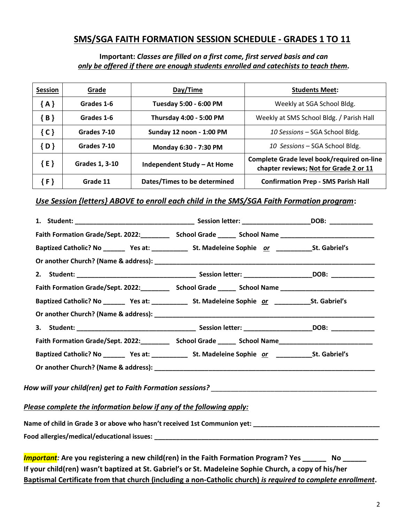# **SMS/SGA FAITH FORMATION SESSION SCHEDULE - GRADES 1 TO 11**

#### **Important:** *Classes are filled on a first come, first served basis and can only be offered if there are enough students enrolled and catechists to teach them.*

| <b>Session</b> | Grade                 | Day/Time                                             | <b>Students Meet:</b>                                                                |
|----------------|-----------------------|------------------------------------------------------|--------------------------------------------------------------------------------------|
| ${A}$          | Grades 1-6            | Tuesday 5:00 - 6:00 PM<br>Weekly at SGA School Bldg. |                                                                                      |
| ${B}$          | Grades 1-6            | Thursday 4:00 - 5:00 PM                              | Weekly at SMS School Bldg. / Parish Hall                                             |
| ${C}$          | Grades 7-10           | Sunday 12 noon - 1:00 PM                             | 10 Sessions - SGA School Bldg.                                                       |
| ${D}$          | Grades 7-10           | Monday 6:30 - 7:30 PM                                | 10 Sessions - SGA School Bldg.                                                       |
| E              | <b>Grades 1, 3-10</b> | Independent Study - At Home                          | Complete Grade level book/required on-line<br>chapter reviews; Not for Grade 2 or 11 |
|                | Grade 11              | Dates/Times to be determined                         | <b>Confirmation Prep - SMS Parish Hall</b>                                           |

## *Use Session {letters} ABOVE to enroll each child in the SMS/SGA Faith Formation program***:**

|                                                                                                                                                                                                                                                                                  | Faith Formation Grade/Sept. 2022:______________School Grade _________School Name _____________________________   |  |
|----------------------------------------------------------------------------------------------------------------------------------------------------------------------------------------------------------------------------------------------------------------------------------|------------------------------------------------------------------------------------------------------------------|--|
|                                                                                                                                                                                                                                                                                  | Baptized Catholic? No __________ Yes at: _______________ St. Madeleine Sophie or __________________St. Gabriel's |  |
|                                                                                                                                                                                                                                                                                  |                                                                                                                  |  |
|                                                                                                                                                                                                                                                                                  |                                                                                                                  |  |
|                                                                                                                                                                                                                                                                                  | Faith Formation Grade/Sept. 2022:______________School Grade _________School Name _____________________________   |  |
|                                                                                                                                                                                                                                                                                  | Baptized Catholic? No __________ Yes at: _______________ St. Madeleine Sophie or _________________St. Gabriel's  |  |
|                                                                                                                                                                                                                                                                                  |                                                                                                                  |  |
|                                                                                                                                                                                                                                                                                  |                                                                                                                  |  |
|                                                                                                                                                                                                                                                                                  | Faith Formation Grade/Sept. 2022:_____________ School Grade ________ School Name__________________________       |  |
|                                                                                                                                                                                                                                                                                  | Baptized Catholic? No __________ Yes at: ________________ St. Madeleine Sophie or _________________St. Gabriel's |  |
|                                                                                                                                                                                                                                                                                  |                                                                                                                  |  |
|                                                                                                                                                                                                                                                                                  |                                                                                                                  |  |
| Please complete the information below if any of the following apply:                                                                                                                                                                                                             |                                                                                                                  |  |
|                                                                                                                                                                                                                                                                                  |                                                                                                                  |  |
|                                                                                                                                                                                                                                                                                  |                                                                                                                  |  |
| $\mathbf{L}_{\mathbf{u}}$ , $\mathbf{u}$ and $\mathbf{u}$ are the state of the state of $\mathbf{u}$ . At the state of the state of $\mathbf{u}$ and $\mathbf{u}$ and $\mathbf{u}$ are the state of $\mathbf{u}$ and $\mathbf{u}$ are the state of $\mathbf{u}$ and $\mathbf{u}$ |                                                                                                                  |  |

*Important:* **Are you registering a new child(ren) in the Faith Formation Program? Yes \_\_\_\_\_\_ No \_\_\_\_\_\_ If your child(ren) wasn't baptized at St. Gabriel's or St. Madeleine Sophie Church, a copy of his/her Baptismal Certificate from that church (including a non-Catholic church)** *is required to complete enrollment***.**